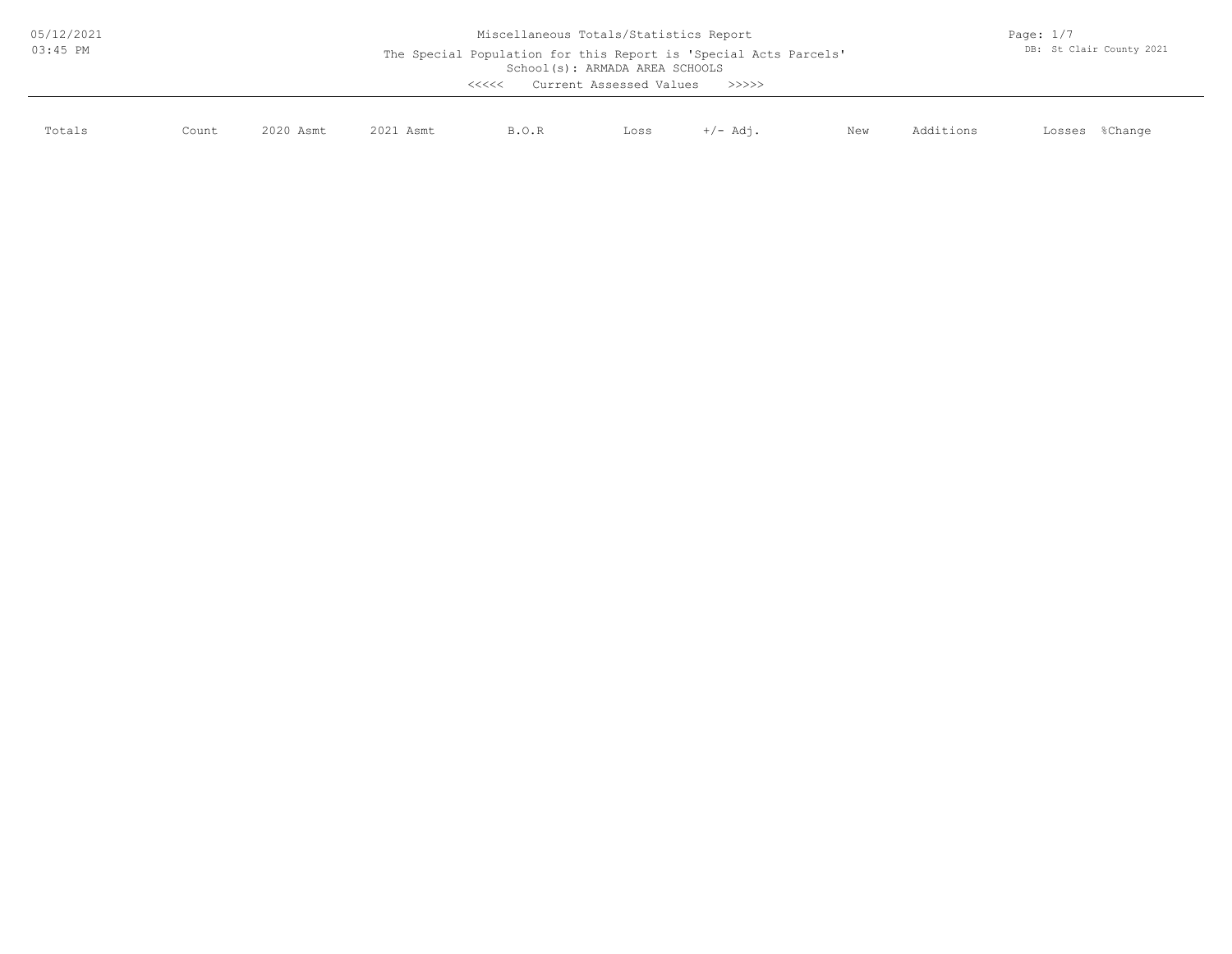| 05/12/2021 |       | Page: $1/7$ |           |       |                                                           |                                                                            |     |           |                          |
|------------|-------|-------------|-----------|-------|-----------------------------------------------------------|----------------------------------------------------------------------------|-----|-----------|--------------------------|
| $03:45$ PM |       |             |           | <<<<  | School(s): ARMADA AREA SCHOOLS<br>Current Assessed Values | The Special Population for this Report is 'Special Acts Parcels'<br>>>>>>> |     |           | DB: St Clair County 2021 |
| Totals     | Count | 2020 Asmt   | 2021 Asmt | B.O.R | Loss                                                      | +/- Adi.                                                                   | New | Additions | %Change<br>Losses        |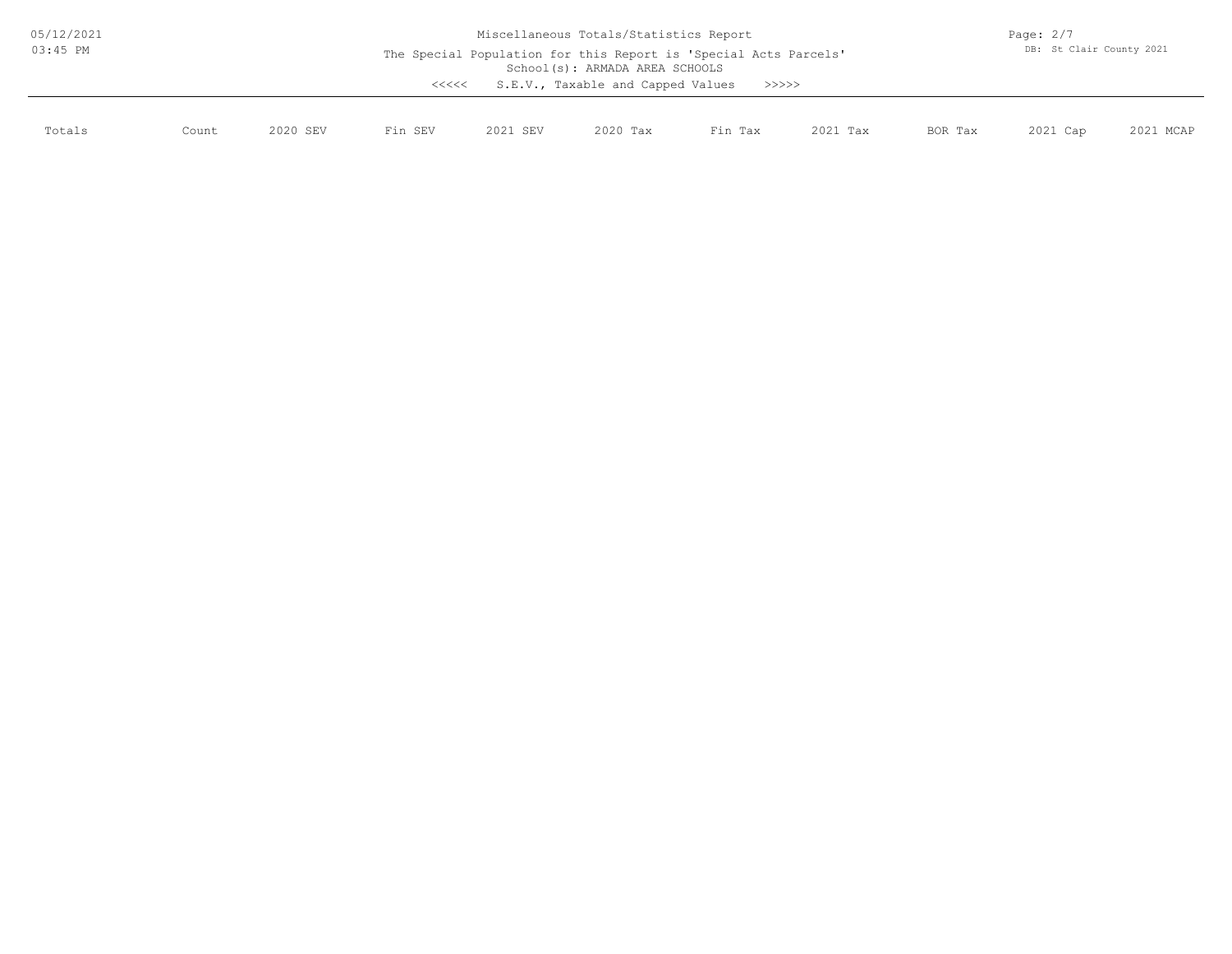| 05/12/2021<br>$03:45$ PM |       | Miscellaneous Totals/Statistics Report<br>The Special Population for this Report is 'Special Acts Parcels'<br>School(s): ARMADA AREA SCHOOLS<br>S.E.V., Taxable and Capped Values<br>>>>>>><br><<<< |         |          |          |         |          |         | Page: $2/7$<br>DB: St Clair County 2021 |           |  |
|--------------------------|-------|-----------------------------------------------------------------------------------------------------------------------------------------------------------------------------------------------------|---------|----------|----------|---------|----------|---------|-----------------------------------------|-----------|--|
| Totals                   | Count | 2020 SEV                                                                                                                                                                                            | Fin SEV | 2021 SEV | 2020 Tax | Fin Tax | 2021 Tax | BOR Tax | 2021 Cap                                | 2021 MCAP |  |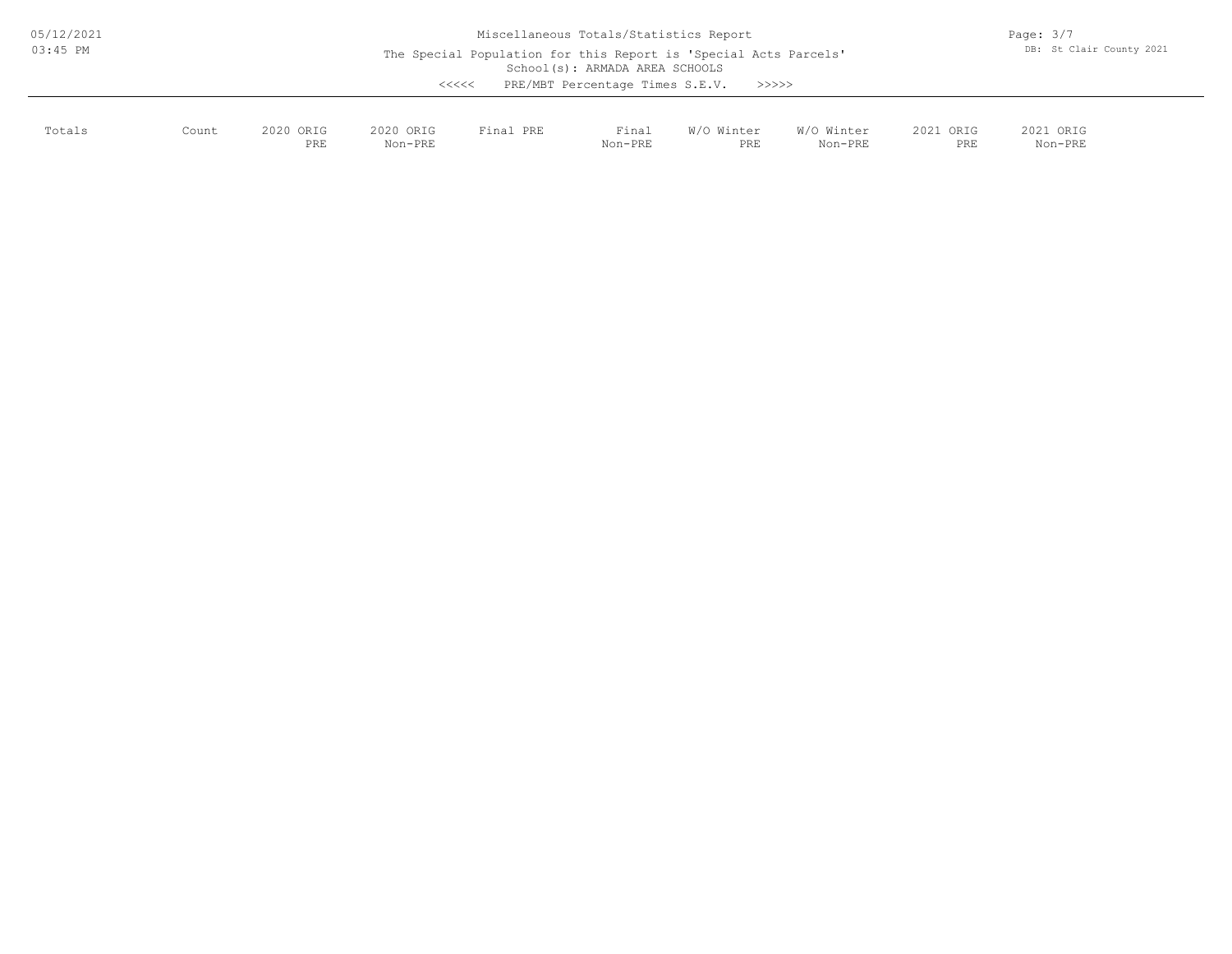| 05/12/2021<br>$03:45$ PM | Miscellaneous Totals/Statistics Report<br>The Special Population for this Report is 'Special Acts Parcels'<br>School(s): ARMADA AREA SCHOOLS<br>PRE/MBT Percentage Times S.E.V.<br>$\prec$ <<<<<br>>>>>>> |                  |                      |           |                  |                   |                       | Page: $3/7$<br>DB: St Clair County 2021 |                      |  |
|--------------------------|-----------------------------------------------------------------------------------------------------------------------------------------------------------------------------------------------------------|------------------|----------------------|-----------|------------------|-------------------|-----------------------|-----------------------------------------|----------------------|--|
| Totals                   | Count                                                                                                                                                                                                     | 2020 ORIG<br>PRE | 2020 ORIG<br>Non-PRE | Final PRE | Final<br>Non-PRE | W/O Winter<br>PRE | W/O Winter<br>Non-PRE | 2021 ORIG<br>PRE                        | 2021 ORIG<br>Non-PRE |  |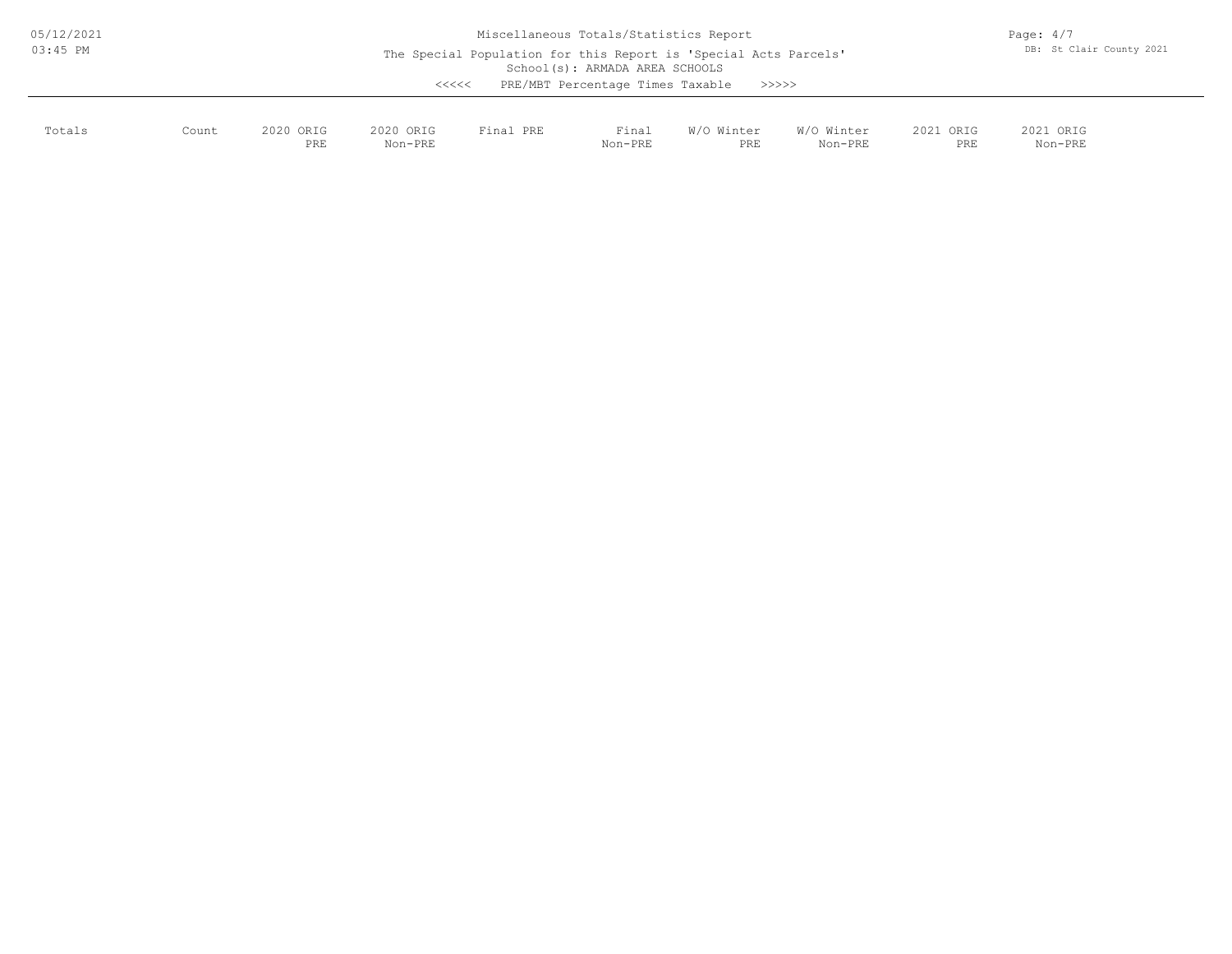| 05/12/2021<br>$03:45$ PM | Miscellaneous Totals/Statistics Report<br>The Special Population for this Report is 'Special Acts Parcels'<br>School(s): ARMADA AREA SCHOOLS<br>PRE/MBT Percentage Times Taxable<br><<<<<br>>>>>> |                  |                      |           |                  |                   |                       | Page: $4/7$<br>DB: St Clair County 2021 |                      |  |
|--------------------------|---------------------------------------------------------------------------------------------------------------------------------------------------------------------------------------------------|------------------|----------------------|-----------|------------------|-------------------|-----------------------|-----------------------------------------|----------------------|--|
| Totals                   | Count                                                                                                                                                                                             | 2020 ORIG<br>PRE | 2020 ORIG<br>Non-PRE | Final PRE | Final<br>Non-PRE | W/O Winter<br>PRE | W/O Winter<br>Non-PRE | 2021 ORIG<br>PRE                        | 2021 ORIG<br>Non-PRE |  |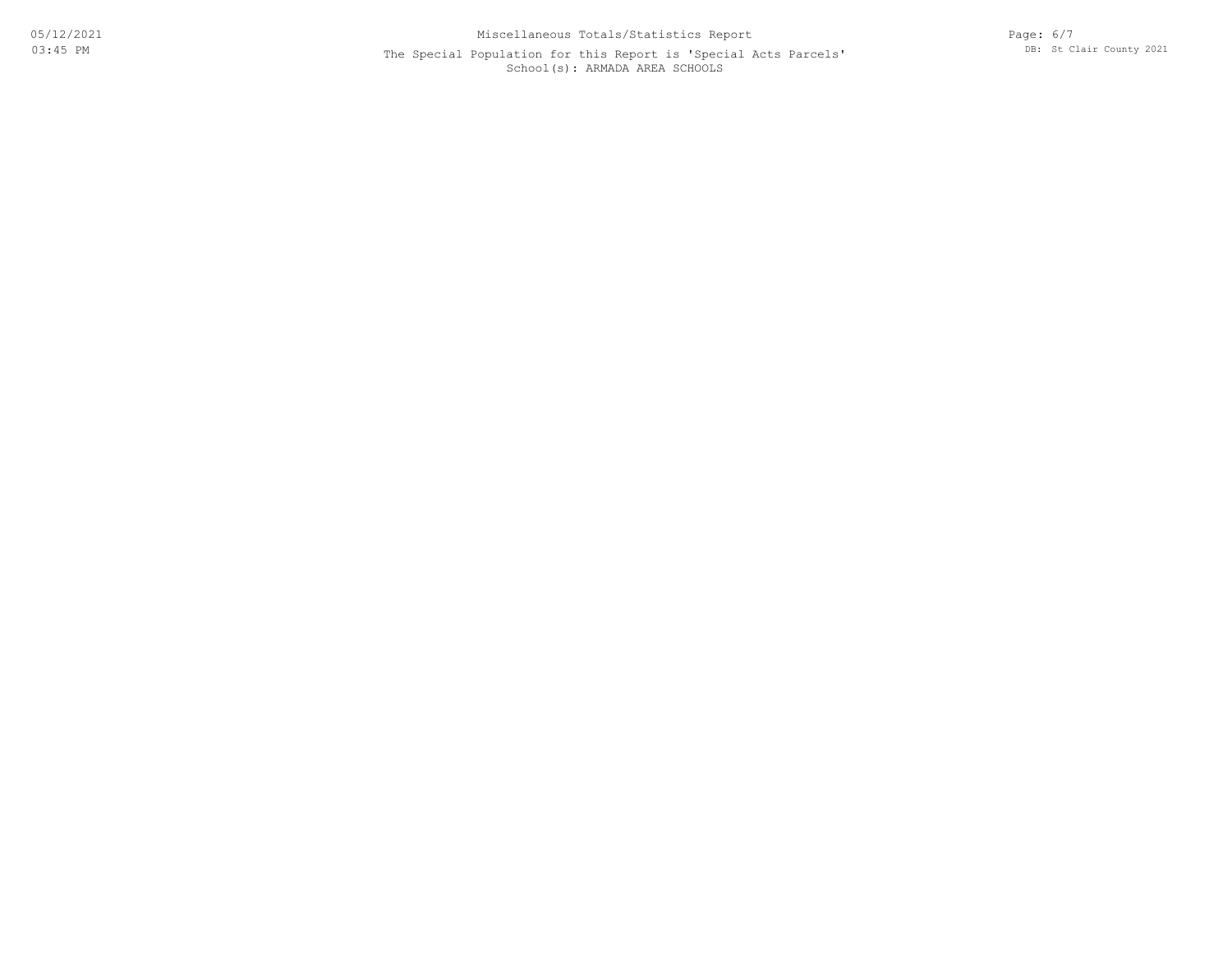## School(s): ARMADA AREA SCHOOLS The Special Population for this Report is 'Special Acts Parcels'